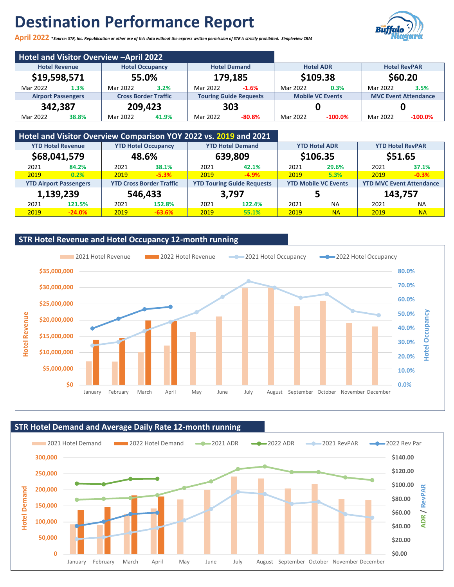# **Destination Performance Report**



**April 2022 \****Source: STR, Inc. Republication or other use of this data without the express written permission of STR is strictly prohibited. Simpleview CRM*

|                                                |       | Hotel and Visitor Overview - April 2022 |                     |          |                               |          |                         |                             |            |
|------------------------------------------------|-------|-----------------------------------------|---------------------|----------|-------------------------------|----------|-------------------------|-----------------------------|------------|
| <b>Hotel Revenue</b><br><b>Hotel Occupancy</b> |       |                                         | <b>Hotel Demand</b> |          | <b>Hotel ADR</b>              |          | <b>Hotel RevPAR</b>     |                             |            |
| \$19,598,571                                   |       | 55.0%                                   |                     | 179,185  |                               | \$109.38 |                         | \$60.20                     |            |
| Mar 2022                                       | 1.3%  | Mar 2022                                | 3.2%                | Mar 2022 | $-1.6%$                       | Mar 2022 | 0.3%                    | Mar 2022                    | 3.5%       |
| <b>Airport Passengers</b>                      |       | <b>Cross Border Traffic</b>             |                     |          | <b>Touring Guide Requests</b> |          | <b>Mobile VC Events</b> | <b>MVC Event Attendance</b> |            |
| 342,387                                        |       | 209,423                                 |                     | 303      |                               |          |                         |                             |            |
| Mar 2022                                       | 38.8% | Mar 2022                                | 41.9%               | Mar 2022 | $-80.8%$                      | Mar 2022 | $-100.0\%$              | Mar 2022                    | $-100.0\%$ |

|                                                        | Hotel and Visitor Overview Comparison YOY 2022 vs. 2019 and 2021 |         |                                 |       |                                   |      |                             |         |                                 |
|--------------------------------------------------------|------------------------------------------------------------------|---------|---------------------------------|-------|-----------------------------------|------|-----------------------------|---------|---------------------------------|
| <b>YTD Hotel Revenue</b><br><b>YTD Hotel Occupancy</b> |                                                                  |         | <b>YTD Hotel Demand</b>         |       | <b>YTD Hotel ADR</b>              |      | <b>YTD Hotel RevPAR</b>     |         |                                 |
|                                                        | \$68,041,579                                                     |         | 48.6%                           |       | \$106.35<br>639,809               |      |                             | \$51.65 |                                 |
| 2021                                                   | 84.2%                                                            | 2021    | 38.1%                           | 2021  | 42.1%                             | 2021 | 29.6%                       | 2021    | 37.1%                           |
| 2019                                                   | 0.2%                                                             | 2019    | $-5.3%$                         | 2019  | $-4.9%$                           | 2019 | 5.3%                        | 2019    | $-0.3%$                         |
|                                                        | <b>YTD Airport Passengers</b>                                    |         | <b>YTD Cross Border Traffic</b> |       | <b>YTD Touring Guide Requests</b> |      | <b>YTD Mobile VC Events</b> |         | <b>YTD MVC Event Attendance</b> |
|                                                        | 1,139,239                                                        | 546,433 |                                 | 3,797 |                                   |      | э                           |         | 143,757                         |
| 2021                                                   | 121.5%                                                           | 2021    | 152.8%                          | 2021  | 122.4%                            | 2021 | <b>NA</b>                   | 2021    | <b>NA</b>                       |
| 2019                                                   | $-24.0%$                                                         | 2019    | $-63.6%$                        | 2019  | 55.1%                             | 2019 | <b>NA</b>                   | 2019    | <b>NA</b>                       |



**STR Hotel Demand and Average Daily Rate 12-month running**

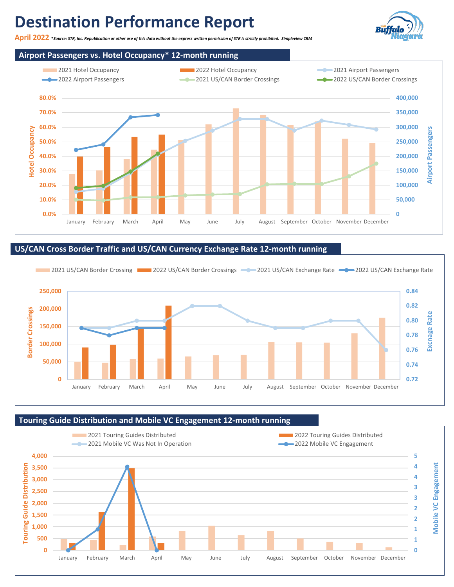# **Destination Performance Report**

**April 2022 \****Source: STR, Inc. Republication or other use of this data without the express written permission of STR is strictly prohibited. Simpleview CRM*



### **US/CAN Cross Border Traffic and US/CAN Currency Exchange Rate 12-month running**



#### **Touring Guide Distribution and Mobile VC Engagement 12-month running**



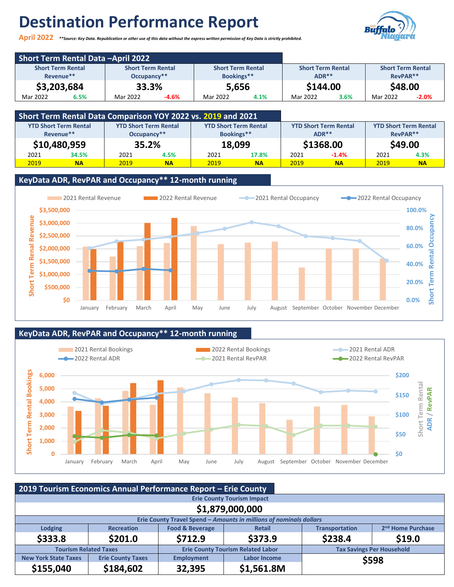# **Destination Performance Report**





| <b>Short Term Rental Data -April 2022</b> |                          |                          |                          |          |
|-------------------------------------------|--------------------------|--------------------------|--------------------------|----------|
| <b>Short Term Rental</b>                  | <b>Short Term Rental</b> | <b>Short Term Rental</b> | <b>Short Term Rental</b> |          |
| Revenue**                                 | Occupancy**              | $ADR***$                 | RevPAR**                 |          |
| \$3,203,684                               | 33.3%                    | 5,656                    | \$144.00                 | \$48.00  |
| Mar 2022                                  | -4.6%                    | Mar 2022                 | Mar 2022                 | Mar 2022 |
| 6.5%                                      | Mar 2022                 | 4.1%                     | 3.6%                     | $-2.0%$  |

|                              | Short Term Rental Data Comparison YOY 2022 vs. 2019 and 2021 |                              |           |                              |           |      |                              |          |                              |
|------------------------------|--------------------------------------------------------------|------------------------------|-----------|------------------------------|-----------|------|------------------------------|----------|------------------------------|
| <b>YTD Short Term Rental</b> |                                                              | <b>YTD Short Term Rental</b> |           | <b>YTD Short Term Rental</b> |           |      | <b>YTD Short Term Rental</b> |          | <b>YTD Short Term Rental</b> |
| Revenue**                    |                                                              | Occupancy**                  |           | Bookings**                   |           |      | $ADR***$                     | RevPAR** |                              |
| \$10,480,959                 |                                                              | 35.2%                        |           | 18,099                       |           |      | \$1368.00                    |          | \$49.00                      |
| 2021                         | 34.5%                                                        | 2021                         | 4.5%      | 2021                         | 17.8%     | 2021 | $-1.4%$                      | 2021     | 4.3%                         |
| 2019                         | <b>NA</b>                                                    | 2019                         | <b>NA</b> | 2019                         | <b>NA</b> | 2019 | <b>NA</b>                    | 2019     | <b>NA</b>                    |

### **KeyData ADR, RevPAR and Occupancy\*\* 12-month running**



### **KeyData ADR, RevPAR and Occupancy\*\* 12-month running**



|                                   | 2019 Tourism Economics Annual Performance Report - Erie County                |                            |                                                                    |                       |                                  |  |  |  |  |  |  |
|-----------------------------------|-------------------------------------------------------------------------------|----------------------------|--------------------------------------------------------------------|-----------------------|----------------------------------|--|--|--|--|--|--|
| <b>Erie County Tourism Impact</b> |                                                                               |                            |                                                                    |                       |                                  |  |  |  |  |  |  |
| \$1,879,000,000                   |                                                                               |                            |                                                                    |                       |                                  |  |  |  |  |  |  |
|                                   |                                                                               |                            | Erie County Travel Spend - Amounts in millions of nominals dollars |                       |                                  |  |  |  |  |  |  |
| <b>Lodging</b>                    | <b>Recreation</b>                                                             | <b>Food &amp; Beverage</b> | <b>Retail</b>                                                      | <b>Transportation</b> | 2 <sup>nd</sup> Home Purchase    |  |  |  |  |  |  |
| \$333.8                           | \$201.0                                                                       | \$712.9                    | \$373.9                                                            | \$238.4               | \$19.0                           |  |  |  |  |  |  |
| <b>Tourism Related Taxes</b>      |                                                                               |                            | <b>Erie County Tourism Related Labor</b>                           |                       | <b>Tax Savings Per Household</b> |  |  |  |  |  |  |
| <b>New York State Taxes</b>       | <b>Erie County Taxes</b><br><b>Labor Income</b><br><b>Employment</b><br>\$598 |                            |                                                                    |                       |                                  |  |  |  |  |  |  |
| \$155,040                         | \$184,602                                                                     | 32,395                     | \$1,561.8M                                                         |                       |                                  |  |  |  |  |  |  |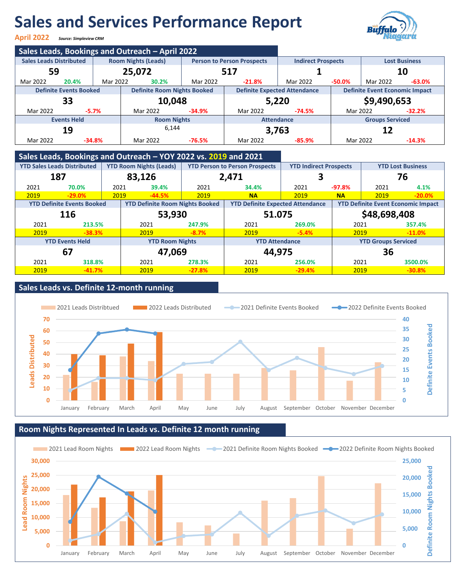# **Sales and Services Performance Report**

**April 2022** *Source: Simpleview CRM*



|                                                                                                   |                     |                                    | Sales Leads, Bookings and Outreach - April 2022 |          |                                     |                                                   |                                       |                        |          |
|---------------------------------------------------------------------------------------------------|---------------------|------------------------------------|-------------------------------------------------|----------|-------------------------------------|---------------------------------------------------|---------------------------------------|------------------------|----------|
| <b>Sales Leads Distributed</b><br><b>Room Nights (Leads)</b><br><b>Person to Person Prospects</b> |                     |                                    |                                                 |          |                                     | <b>Indirect Prospects</b><br><b>Lost Business</b> |                                       |                        |          |
|                                                                                                   | 59<br>25,072<br>517 |                                    |                                                 |          | 10                                  |                                                   |                                       |                        |          |
| Mar 2022                                                                                          | 20.4%               | Mar 2022                           | 30.2%                                           | Mar 2022 | $-21.8\%$                           | Mar 2022                                          | $-50.0\%$                             | Mar 2022               | $-63.0%$ |
| <b>Definite Events Booked</b>                                                                     |                     | <b>Definite Room Nights Booked</b> |                                                 |          | <b>Definite Expected Attendance</b> |                                                   | <b>Definite Event Economic Impact</b> |                        |          |
|                                                                                                   | 33                  |                                    | 10,048                                          |          |                                     | 5,220                                             |                                       | \$9,490,653            |          |
| Mar 2022                                                                                          |                     | $-5.7%$                            | Mar 2022                                        | $-34.9%$ | Mar 2022                            | $-74.5%$                                          | Mar 2022                              |                        | $-32.2%$ |
|                                                                                                   | <b>Events Held</b>  |                                    | <b>Room Nights</b>                              |          |                                     | <b>Attendance</b>                                 |                                       | <b>Groups Serviced</b> |          |
| 19                                                                                                |                     |                                    | 6.144                                           |          |                                     | 3,763                                             |                                       | 12                     |          |
| Mar 2022                                                                                          |                     | $-34.8%$                           | Mar 2022                                        | $-76.5%$ | Mar 2022                            | $-85.9%$                                          | Mar 2022                              |                        | $-14.3%$ |

### **Sales Leads, Bookings and Outreach – YOY 2022 vs. 2019 and 2021**

|      | <b>YTD Sales Leads Distributed</b><br><b>YTD Room Nights (Leads)</b> |      | <b>YTD Person to Person Prospects</b>  |          | <b>YTD Indirect Prospects</b>           |          | <b>YTD Lost Business</b>                  |              |          |
|------|----------------------------------------------------------------------|------|----------------------------------------|----------|-----------------------------------------|----------|-------------------------------------------|--------------|----------|
|      | 187                                                                  |      | 83,126                                 |          | 2,471                                   |          |                                           |              | 76       |
| 2021 | 70.0%                                                                | 2021 | 39.4%                                  | 2021     | 34.4%                                   | 2021     | $-97.8%$                                  | 2021         | 4.1%     |
| 2019 | $-29.0%$                                                             | 2019 | $-44.5%$                               | 2019     | <b>NA</b>                               | 2019     | <b>NA</b>                                 | 2019         | $-20.0%$ |
|      | <b>YTD Definite Events Booked</b>                                    |      | <b>YTD Definite Room Nights Booked</b> |          | <b>YTD Definite Expected Attendance</b> |          | <b>YTD Definite Event Economic Impact</b> |              |          |
| 116  |                                                                      |      | 53,930                                 |          | 51.075                                  |          |                                           | \$48,698,408 |          |
| 2021 | 213.5%                                                               |      | 2021                                   | 247.9%   | 2021                                    | 269.0%   | 2021                                      |              | 357.4%   |
| 2019 | $-38.3%$                                                             |      | 2019                                   | $-8.7%$  | 2019                                    | $-5.4%$  | 2019                                      |              | $-11.0%$ |
|      | <b>YTD Events Held</b>                                               |      | <b>YTD Room Nights</b>                 |          | <b>YTD Attendance</b>                   |          | <b>YTD Groups Serviced</b>                |              |          |
| 67   |                                                                      |      | 47,069                                 |          | 44,975                                  |          |                                           | 36           |          |
| 2021 | 318.8%                                                               |      | 2021                                   | 278.3%   | 2021                                    | 256.0%   | 2021                                      |              | 3500.0%  |
| 2019 | $-41.7%$                                                             |      | 2019                                   | $-27.8%$ | 2019                                    | $-29.4%$ | 2019                                      |              | $-30.8%$ |

### **Sales Leads vs. Definite 12-month running**



### **Room Nights Represented In Leads vs. Definite 12 month running**

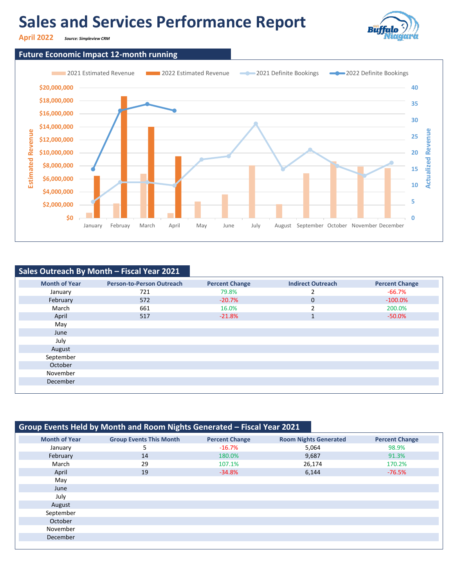# **Sales and Services Performance Report**



**April 2022** *Source: Simpleview CRM*

### **Future Economic Impact 12-month running**



### **Sales Outreach By Month – Fiscal Year 2021**

| <b>Month of Year</b> | <b>Person-to-Person Outreach</b> | <b>Percent Change</b> | <b>Indirect Outreach</b> | <b>Percent Change</b> |
|----------------------|----------------------------------|-----------------------|--------------------------|-----------------------|
| January              | 721                              | 79.8%                 |                          | -66.7%                |
| February             | 572                              | $-20.7%$              | 0                        | $-100.0\%$            |
| March                | 661                              | 16.0%                 | $\mathcal{P}$            | 200.0%                |
| April                | 517                              | $-21.8%$              | $\mathbf{A}$<br>Ŧ        | $-50.0\%$             |
| May                  |                                  |                       |                          |                       |
| June                 |                                  |                       |                          |                       |
| July                 |                                  |                       |                          |                       |
| August               |                                  |                       |                          |                       |
| September            |                                  |                       |                          |                       |
| October              |                                  |                       |                          |                       |
| November             |                                  |                       |                          |                       |
| December             |                                  |                       |                          |                       |
|                      |                                  |                       |                          |                       |

| Group Events Held by Month and Room Nights Generated - Fiscal Year 2021 |                                |                       |                              |                       |  |  |  |  |  |  |
|-------------------------------------------------------------------------|--------------------------------|-----------------------|------------------------------|-----------------------|--|--|--|--|--|--|
| <b>Month of Year</b>                                                    | <b>Group Events This Month</b> | <b>Percent Change</b> | <b>Room Nights Generated</b> | <b>Percent Change</b> |  |  |  |  |  |  |
| January                                                                 | 5                              | $-16.7\%$             | 5,064                        | 98.9%                 |  |  |  |  |  |  |
| February                                                                | 14                             | 180.0%                | 9,687                        | 91.3%                 |  |  |  |  |  |  |
| March                                                                   | 29                             | 107.1%                | 26,174                       | 170.2%                |  |  |  |  |  |  |
| April                                                                   | 19                             | $-34.8%$              | 6,144                        | $-76.5%$              |  |  |  |  |  |  |
| May                                                                     |                                |                       |                              |                       |  |  |  |  |  |  |
| June                                                                    |                                |                       |                              |                       |  |  |  |  |  |  |
| July                                                                    |                                |                       |                              |                       |  |  |  |  |  |  |
| August                                                                  |                                |                       |                              |                       |  |  |  |  |  |  |
| September                                                               |                                |                       |                              |                       |  |  |  |  |  |  |
| October                                                                 |                                |                       |                              |                       |  |  |  |  |  |  |
| November                                                                |                                |                       |                              |                       |  |  |  |  |  |  |
| December                                                                |                                |                       |                              |                       |  |  |  |  |  |  |
|                                                                         |                                |                       |                              |                       |  |  |  |  |  |  |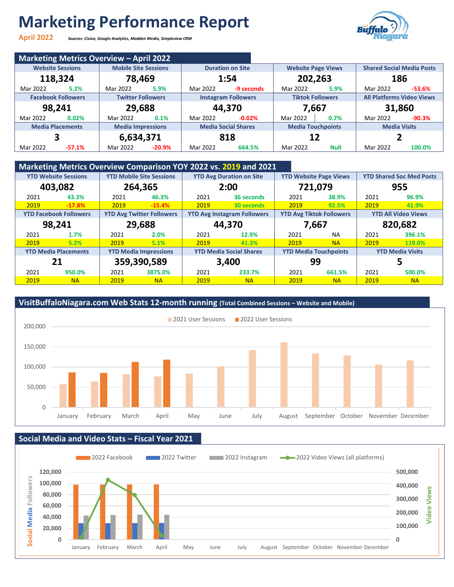# **Marketing Performance Report**

**April 2022** *Sources: Cision, Google Analytics, Madden Media, Simpleview CRM*



|          |                           | <b>Marketing Metrics Overview - April 2022</b> |      |          |                            |                           |      |                                  |          |
|----------|---------------------------|------------------------------------------------|------|----------|----------------------------|---------------------------|------|----------------------------------|----------|
|          | <b>Website Sessions</b>   | <b>Mobile Site Sessions</b>                    |      |          | <b>Duration on Site</b>    | <b>Website Page Views</b> |      | <b>Shared Social Media Posts</b> |          |
| 118,324  |                           | 78,469                                         |      | 1:54     |                            | 202,263                   |      | 186                              |          |
| Mar 2022 | 5.2%                      | Mar 2022                                       | 5.9% | Mar 2022 | -9 seconds                 | Mar 2022                  | 5.9% | Mar 2022                         | $-53.6%$ |
|          | <b>Facebook Followers</b> | <b>Twitter Followers</b>                       |      |          | <b>Instagram Followers</b> | <b>Tiktok Followers</b>   |      | <b>All Platforms Video Views</b> |          |
| 98,241   |                           | 29,688                                         |      |          | 44.370                     | 7,667                     |      | 31,860                           |          |
| Mar 2022 | 0.02%                     | Mar 2022                                       | 0.1% | Mar 2022 | $-0.02%$                   | Mar 2022                  | 0.7% | Mar 2022                         | $-90.3%$ |
|          | <b>Media Placements</b>   | <b>Media Impressions</b>                       |      |          | <b>Media Social Shares</b> | <b>Media Touchpoints</b>  |      | <b>Media Visits</b>              |          |
|          |                           | 6,634,371                                      |      |          | 818                        | 12                        |      |                                  |          |
|          |                           |                                                |      |          |                            |                           |      |                                  |          |

### **Marketing Metrics Overview Comparison YOY 2022 vs. 2019 and 2021**

|      | <u>mandang meniwe sternen sempaneen is i sessi for sess</u> and sessi |                  |                                  |       |                                                                       |      |                                 |                            |                         |  |  |  |
|------|-----------------------------------------------------------------------|------------------|----------------------------------|-------|-----------------------------------------------------------------------|------|---------------------------------|----------------------------|-------------------------|--|--|--|
|      | <b>YTD Website Sessions</b><br><b>YTD Mobile Site Sessions</b>        |                  | <b>YTD Avg Duration on Site</b>  |       | <b>YTD Website Page Views</b>                                         |      | <b>YTD Shared Soc Med Posts</b> |                            |                         |  |  |  |
|      | 403,082                                                               |                  | 264,365                          |       | 2:00                                                                  |      | 721,079                         | 955                        |                         |  |  |  |
| 2021 | 43.3%                                                                 | 2021             | 46.3%                            | 2021  | 36 seconds                                                            | 2021 | 38.9%                           | 2021                       | 96.9%                   |  |  |  |
| 2019 | $-17.8%$                                                              | 2019             | $-15.4%$                         | 2019  | 30 seconds                                                            | 2019 | 92.5%                           | 2019                       | 41.9%                   |  |  |  |
|      | <b>YTD Facebook Followers</b>                                         |                  | <b>YTD Avg Twitter Followers</b> |       | <b>YTD Avg Tiktok Followers</b><br><b>YTD Avg Instagram Followers</b> |      |                                 | <b>YTD All Video Views</b> |                         |  |  |  |
|      | 98,241                                                                | 29,688<br>44,370 |                                  |       | 7,667                                                                 |      | 820,682                         |                            |                         |  |  |  |
| 2021 | 1.7%                                                                  | 2021             | 2.0%                             | 2021  | 12.9%                                                                 | 2021 | <b>NA</b>                       | 2021                       | 396.1%                  |  |  |  |
| 2019 | 5.2%                                                                  | 2019             | 5.1%                             | 2019  | 41.3%                                                                 | 2019 | <b>NA</b>                       | 2019                       | 119.0%                  |  |  |  |
|      | <b>YTD Media Placements</b>                                           |                  | <b>YTD Media Impressions</b>     |       | <b>YTD Media Social Shares</b>                                        |      | <b>YTD Media Touchpoints</b>    |                            | <b>YTD Media Visits</b> |  |  |  |
| 21   |                                                                       | 359,390,589      |                                  | 3,400 |                                                                       |      | 99                              |                            |                         |  |  |  |
| 2021 | 950.0%                                                                | 2021             | 3875.0%                          | 2021  | 233.7%                                                                | 2021 | 661.5%                          | 2021                       | 500.0%                  |  |  |  |
| 2019 | <b>NA</b>                                                             | 2019             | <b>NA</b>                        | 2019  | <b>NA</b>                                                             | 2019 | <b>NA</b>                       | 2019                       | <b>NA</b>               |  |  |  |

### **VisitBuffaloNiagara.com Web Stats 12-month running (Total Combined Sessions – Website and Mobile)** 0 50,000 100,000 150,000 200,000 January February March April May June July August September October November December 2021 User Sessions 2022 User Sessions

### **Social Media and Video Stats – Fiscal Year 2021**

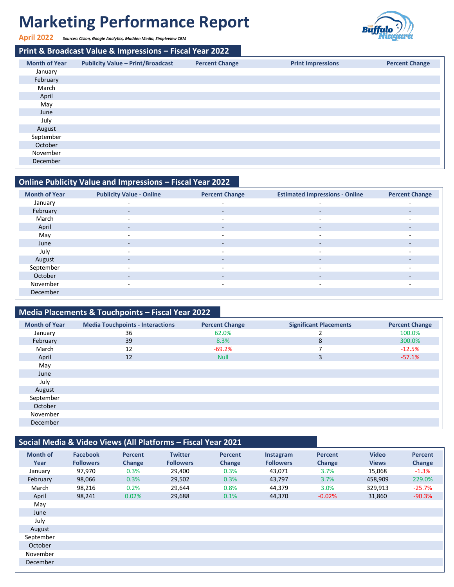# **Marketing Performance Report**



**April 2022** *Sources: Cision, Google Analytics, Madden Media, Simpleview CRM*

December

**Print & Broadcast Value & Impressions – Fiscal Year 2022 Month of Year Publicity Value – Print/Broadcast Percent Change Print Impressions Percent Change** January February March April May June July August September October November

### **Online Publicity Value and Impressions – Fiscal Year 2022**

| <b>Month of Year</b> | <b>Publicity Value - Online</b> | <b>Percent Change</b>    | <b>Estimated Impressions - Online</b> | <b>Percent Change</b>    |
|----------------------|---------------------------------|--------------------------|---------------------------------------|--------------------------|
| January              | ٠                               | $\overline{\phantom{0}}$ | $\sim$                                | $\overline{\phantom{0}}$ |
| February             | $\overline{\phantom{a}}$        | $\sim$                   | $\overline{\phantom{a}}$              | ٠                        |
| March                | $\overline{\phantom{0}}$        | $\overline{\phantom{0}}$ | $\overline{\phantom{a}}$              |                          |
| April                | $\overline{\phantom{0}}$        | $\sim$                   | $\sim$                                | ۰.                       |
| May                  |                                 | $\sim$                   | $\sim$                                |                          |
| June                 | $\overline{\phantom{a}}$        | $\sim$                   | $\sim$                                | ٠                        |
| July                 | $\overline{\phantom{0}}$        | $\sim$                   | $\sim$                                | $\sim$                   |
| August               | $\overline{\phantom{0}}$        | $\overline{\phantom{0}}$ | $\overline{\phantom{a}}$              | $\overline{\phantom{a}}$ |
| September            | $\overline{\phantom{0}}$        | $\sim$                   | $\sim$                                | $\sim$                   |
| October              |                                 | $\overline{\phantom{a}}$ | $\sim$                                |                          |
| November             | $\overline{\phantom{a}}$        | $\sim$                   | $\sim$                                | $\sim$                   |
| December             |                                 |                          |                                       |                          |

### **Media Placements & Touchpoints – Fiscal Year 2022**

| <b>Month of Year</b> | <b>Media Touchpoints - Interactions</b> | <b>Percent Change</b> | <b>Significant Placements</b> | <b>Percent Change</b> |
|----------------------|-----------------------------------------|-----------------------|-------------------------------|-----------------------|
| January              | 36                                      | 62.0%                 |                               | 100.0%                |
| February             | 39                                      | 8.3%                  | 8                             | 300.0%                |
| March                | 12                                      | $-69.2%$              |                               | $-12.5%$              |
| April                | 12                                      | <b>Null</b>           | 3                             | $-57.1%$              |
| May                  |                                         |                       |                               |                       |
| June                 |                                         |                       |                               |                       |
| July                 |                                         |                       |                               |                       |
| August               |                                         |                       |                               |                       |
| September            |                                         |                       |                               |                       |
| October              |                                         |                       |                               |                       |
| November             |                                         |                       |                               |                       |
| December             |                                         |                       |                               |                       |

### **Social Media & Video Views (All Platforms – Fiscal Year 2021**

| <b>Month of</b><br>Year | <b>Facebook</b><br><b>Followers</b> | <b>Percent</b><br>Change | <b>Twitter</b><br><b>Followers</b> | <b>Percent</b><br>Change | Instagram<br><b>Followers</b> | <b>Percent</b><br>Change | <b>Video</b><br><b>Views</b> | Percent<br>Change |
|-------------------------|-------------------------------------|--------------------------|------------------------------------|--------------------------|-------------------------------|--------------------------|------------------------------|-------------------|
| January                 | 97,970                              | 0.3%                     | 29,400                             | 0.3%                     | 43,071                        | 3.7%                     | 15,068                       | $-1.3%$           |
| February                | 98,066                              | 0.3%                     | 29,502                             | 0.3%                     | 43,797                        | 3.7%                     | 458,909                      | 229.0%            |
| March                   | 98,216                              | 0.2%                     | 29,644                             | 0.8%                     | 44,379                        | 3.0%                     | 329,913                      | $-25.7%$          |
| April                   | 98,241                              | 0.02%                    | 29,688                             | 0.1%                     | 44,370                        | $-0.02%$                 | 31,860                       | $-90.3%$          |
| May                     |                                     |                          |                                    |                          |                               |                          |                              |                   |
| June                    |                                     |                          |                                    |                          |                               |                          |                              |                   |
| July                    |                                     |                          |                                    |                          |                               |                          |                              |                   |
| August                  |                                     |                          |                                    |                          |                               |                          |                              |                   |
| September               |                                     |                          |                                    |                          |                               |                          |                              |                   |
| October                 |                                     |                          |                                    |                          |                               |                          |                              |                   |
| November                |                                     |                          |                                    |                          |                               |                          |                              |                   |
| December                |                                     |                          |                                    |                          |                               |                          |                              |                   |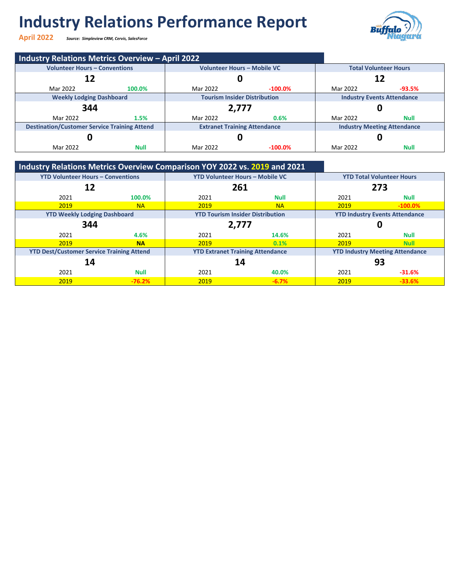# **Industry Relations Performance Report**

**April 2022** *Source: Simpleview CRM, Cervis, SalesForce*



| <b>Industry Relations Metrics Overview - April 2022</b> |        |                                     |            |                                    |             |
|---------------------------------------------------------|--------|-------------------------------------|------------|------------------------------------|-------------|
| <b>Volunteer Hours - Conventions</b>                    |        | <b>Volunteer Hours - Mobile VC</b>  |            | <b>Total Volunteer Hours</b>       |             |
| 12                                                      |        |                                     |            | 12                                 |             |
| Mar 2022                                                | 100.0% | Mar 2022                            | $-100.0\%$ | Mar 2022                           | $-93.5%$    |
| <b>Weekly Lodging Dashboard</b>                         |        | <b>Tourism Insider Distribution</b> |            | <b>Industry Events Attendance</b>  |             |
| 344                                                     |        | 2,777                               |            |                                    |             |
| Mar 2022                                                | 1.5%   | Mar 2022                            | 0.6%       | Mar 2022                           | <b>Null</b> |
| <b>Destination/Customer Service Training Attend</b>     |        | <b>Extranet Training Attendance</b> |            | <b>Industry Meeting Attendance</b> |             |
|                                                         |        |                                     |            |                                    |             |
|                                                         |        |                                     |            |                                    |             |

### **Industry Relations Metrics Overview Comparison YOY 2022 vs. 2019 and 2021**

| <b>YTD Volunteer Hours - Conventions</b>         |             | <b>YTD Volunteer Hours - Mobile VC</b>  |           | <b>YTD Total Volunteer Hours</b>       |             |
|--------------------------------------------------|-------------|-----------------------------------------|-----------|----------------------------------------|-------------|
| 12                                               |             | 261                                     |           | 273                                    |             |
| 2021                                             | 100.0%      | 2021                                    | Null      | 2021                                   | <b>Null</b> |
| 2019                                             | <b>NA</b>   | 2019                                    | <b>NA</b> | 2019                                   | $-100.0\%$  |
| <b>YTD Weekly Lodging Dashboard</b>              |             | <b>YTD Tourism Insider Distribution</b> |           | <b>YTD Industry Events Attendance</b>  |             |
| 344                                              |             | 2,777                                   |           |                                        |             |
| 2021                                             | 4.6%        | 2021                                    | 14.6%     | 2021                                   | <b>Null</b> |
| 2019                                             | <b>NA</b>   | 2019                                    | 0.1%      | 2019                                   | <b>Null</b> |
| <b>YTD Dest/Customer Service Training Attend</b> |             | <b>YTD Extranet Training Attendance</b> |           | <b>YTD Industry Meeting Attendance</b> |             |
| 14                                               |             | 14                                      |           | 93                                     |             |
| 2021                                             | <b>Null</b> | 2021                                    | 40.0%     | 2021                                   | $-31.6%$    |
| 2019                                             | $-76.2%$    | 2019                                    | $-6.7%$   | 2019                                   | $-33.6%$    |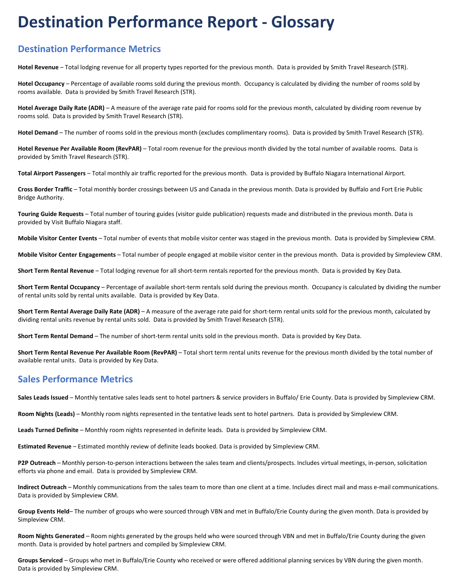## **Destination Performance Report - Glossary**

### **Destination Performance Metrics**

**Hotel Revenue** – Total lodging revenue for all property types reported for the previous month. Data is provided by Smith Travel Research (STR).

**Hotel Occupancy** – Percentage of available rooms sold during the previous month. Occupancy is calculated by dividing the number of rooms sold by rooms available. Data is provided by Smith Travel Research (STR).

**Hotel Average Daily Rate (ADR)** – A measure of the average rate paid for rooms sold for the previous month, calculated by dividing room revenue by rooms sold. Data is provided by Smith Travel Research (STR).

**Hotel Demand** – The number of rooms sold in the previous month (excludes complimentary rooms). Data is provided by Smith Travel Research (STR).

**Hotel Revenue Per Available Room (RevPAR)** – Total room revenue for the previous month divided by the total number of available rooms. Data is provided by Smith Travel Research (STR).

**Total Airport Passengers** – Total monthly air traffic reported for the previous month. Data is provided by Buffalo Niagara International Airport.

**Cross Border Traffic** – Total monthly border crossings between US and Canada in the previous month. Data is provided by Buffalo and Fort Erie Public Bridge Authority.

**Touring Guide Requests** – Total number of touring guides (visitor guide publication) requests made and distributed in the previous month. Data is provided by Visit Buffalo Niagara staff.

**Mobile Visitor Center Events** – Total number of events that mobile visitor center was staged in the previous month. Data is provided by Simpleview CRM.

**Mobile Visitor Center Engagements** – Total number of people engaged at mobile visitor center in the previous month. Data is provided by Simpleview CRM.

**Short Term Rental Revenue** – Total lodging revenue for all short-term rentals reported for the previous month. Data is provided by Key Data.

**Short Term Rental Occupancy** – Percentage of available short-term rentals sold during the previous month. Occupancy is calculated by dividing the number of rental units sold by rental units available. Data is provided by Key Data.

**Short Term Rental Average Daily Rate (ADR)** – A measure of the average rate paid for short-term rental units sold for the previous month, calculated by dividing rental units revenue by rental units sold. Data is provided by Smith Travel Research (STR).

**Short Term Rental Demand** – The number of short-term rental units sold in the previous month. Data is provided by Key Data.

**Short Term Rental Revenue Per Available Room (RevPAR)** – Total short term rental units revenue for the previous month divided by the total number of available rental units. Data is provided by Key Data.

### **Sales Performance Metrics**

**Sales Leads Issued** – Monthly tentative sales leads sent to hotel partners & service providers in Buffalo/ Erie County. Data is provided by Simpleview CRM.

**Room Nights (Leads)** – Monthly room nights represented in the tentative leads sent to hotel partners. Data is provided by Simpleview CRM.

**Leads Turned Definite** – Monthly room nights represented in definite leads. Data is provided by Simpleview CRM.

**Estimated Revenue** – Estimated monthly review of definite leads booked. Data is provided by Simpleview CRM.

**P2P Outreach** – Monthly person-to-person interactions between the sales team and clients/prospects. Includes virtual meetings, in-person, solicitation efforts via phone and email. Data is provided by Simpleview CRM.

**Indirect Outreach** – Monthly communications from the sales team to more than one client at a time. Includes direct mail and mass e-mail communications. Data is provided by Simpleview CRM.

**Group Events Held**– The number of groups who were sourced through VBN and met in Buffalo/Erie County during the given month. Data is provided by Simpleview CRM.

**Room Nights Generated** – Room nights generated by the groups held who were sourced through VBN and met in Buffalo/Erie County during the given month. Data is provided by hotel partners and compiled by Simpleview CRM.

**Groups Serviced** – Groups who met in Buffalo/Erie County who received or were offered additional planning services by VBN during the given month. Data is provided by Simpleview CRM.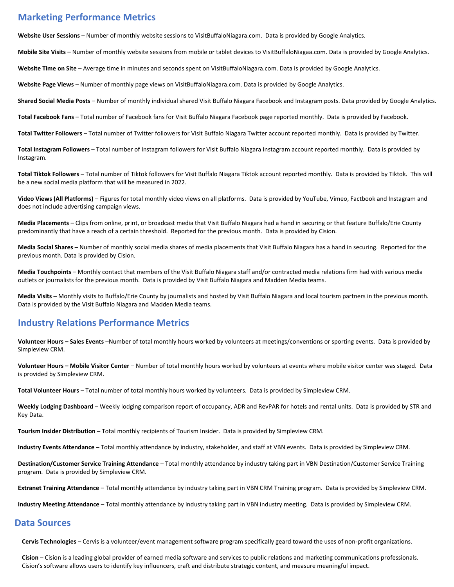### **Marketing Performance Metrics**

**Website User Sessions** – Number of monthly website sessions to VisitBuffaloNiagara.com. Data is provided by Google Analytics.

**Mobile Site Visits** – Number of monthly website sessions from mobile or tablet devices to VisitBuffaloNiagaa.com. Data is provided by Google Analytics.

**Website Time on Site** – Average time in minutes and seconds spent on VisitBuffaloNiagara.com. Data is provided by Google Analytics.

**Website Page Views** – Number of monthly page views on VisitBuffaloNiagara.com. Data is provided by Google Analytics.

**Shared Social Media Posts** – Number of monthly individual shared Visit Buffalo Niagara Facebook and Instagram posts. Data provided by Google Analytics.

**Total Facebook Fans** – Total number of Facebook fans for Visit Buffalo Niagara Facebook page reported monthly. Data is provided by Facebook.

**Total Twitter Followers** – Total number of Twitter followers for Visit Buffalo Niagara Twitter account reported monthly. Data is provided by Twitter.

**Total Instagram Followers** – Total number of Instagram followers for Visit Buffalo Niagara Instagram account reported monthly. Data is provided by Instagram.

**Total Tiktok Followers** – Total number of Tiktok followers for Visit Buffalo Niagara Tiktok account reported monthly. Data is provided by Tiktok. This will be a new social media platform that will be measured in 2022.

**Video Views (All Platforms)** – Figures for total monthly video views on all platforms. Data is provided by YouTube, Vimeo, Factbook and Instagram and does not include advertising campaign views.

**Media Placements** – Clips from online, print, or broadcast media that Visit Buffalo Niagara had a hand in securing or that feature Buffalo/Erie County predominantly that have a reach of a certain threshold. Reported for the previous month. Data is provided by Cision.

**Media Social Shares** – Number of monthly social media shares of media placements that Visit Buffalo Niagara has a hand in securing. Reported for the previous month. Data is provided by Cision.

**Media Touchpoints** – Monthly contact that members of the Visit Buffalo Niagara staff and/or contracted media relations firm had with various media outlets or journalists for the previous month. Data is provided by Visit Buffalo Niagara and Madden Media teams.

**Media Visits** – Monthly visits to Buffalo/Erie County by journalists and hosted by Visit Buffalo Niagara and local tourism partners in the previous month. Data is provided by the Visit Buffalo Niagara and Madden Media teams.

### **Industry Relations Performance Metrics**

**Volunteer Hours – Sales Events** –Number of total monthly hours worked by volunteers at meetings/conventions or sporting events. Data is provided by Simpleview CRM.

**Volunteer Hours – Mobile Visitor Center** – Number of total monthly hours worked by volunteers at events where mobile visitor center was staged. Data is provided by Simpleview CRM.

**Total Volunteer Hours** – Total number of total monthly hours worked by volunteers. Data is provided by Simpleview CRM.

**Weekly Lodging Dashboard** – Weekly lodging comparison report of occupancy, ADR and RevPAR for hotels and rental units. Data is provided by STR and Key Data.

**Tourism Insider Distribution** – Total monthly recipients of Tourism Insider. Data is provided by Simpleview CRM.

**Industry Events Attendance** – Total monthly attendance by industry, stakeholder, and staff at VBN events. Data is provided by Simpleview CRM.

**Destination/Customer Service Training Attendance** – Total monthly attendance by industry taking part in VBN Destination/Customer Service Training program. Data is provided by Simpleview CRM.

**Extranet Training Attendance** – Total monthly attendance by industry taking part in VBN CRM Training program. Data is provided by Simpleview CRM.

**Industry Meeting Attendance** – Total monthly attendance by industry taking part in VBN industry meeting. Data is provided by Simpleview CRM.

### **Data Sources**

**Cervis Technologies** – Cervis is a volunteer/event management software program specifically geard toward the uses of non-profit organizations.

**Cision** – Cision is a leading global provider of earned media software and services to public relations and marketing communications professionals. Cision's software allows users to identify key influencers, craft and distribute strategic content, and measure meaningful impact.